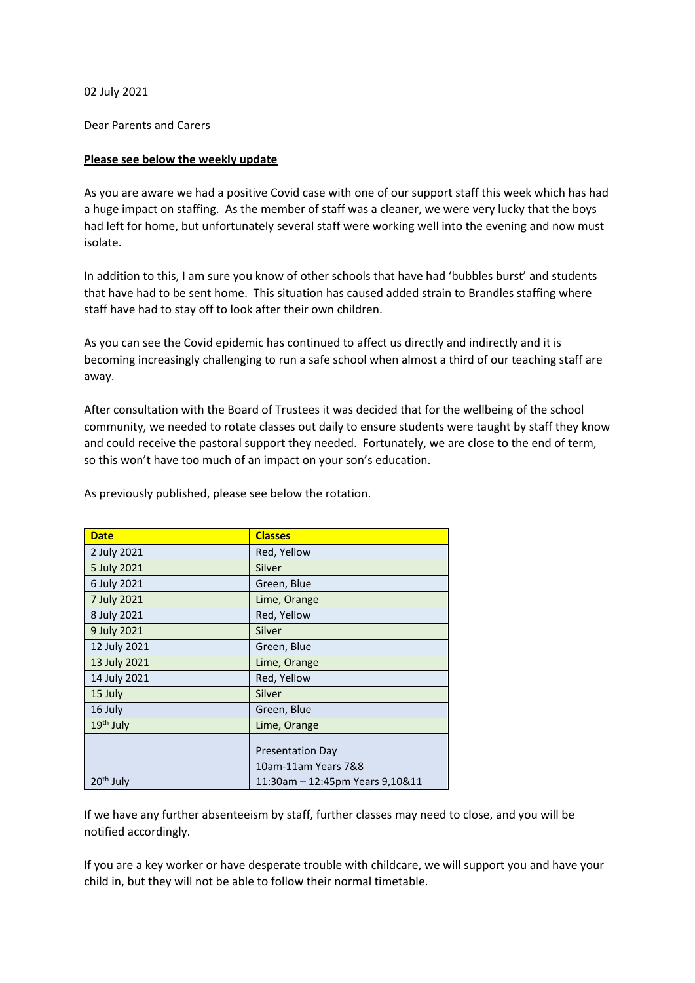02 July 2021

Dear Parents and Carers

## **Please see below the weekly update**

As you are aware we had a positive Covid case with one of our support staff this week which has had a huge impact on staffing. As the member of staff was a cleaner, we were very lucky that the boys had left for home, but unfortunately several staff were working well into the evening and now must isolate.

In addition to this, I am sure you know of other schools that have had 'bubbles burst' and students that have had to be sent home. This situation has caused added strain to Brandles staffing where staff have had to stay off to look after their own children.

As you can see the Covid epidemic has continued to affect us directly and indirectly and it is becoming increasingly challenging to run a safe school when almost a third of our teaching staff are away.

After consultation with the Board of Trustees it was decided that for the wellbeing of the school community, we needed to rotate classes out daily to ensure students were taught by staff they know and could receive the pastoral support they needed. Fortunately, we are close to the end of term, so this won't have too much of an impact on your son's education.

| <b>Date</b>           | <b>Classes</b>                  |
|-----------------------|---------------------------------|
| 2 July 2021           | Red, Yellow                     |
| 5 July 2021           | Silver                          |
| 6 July 2021           | Green, Blue                     |
| 7 July 2021           | Lime, Orange                    |
| 8 July 2021           | Red, Yellow                     |
| 9 July 2021           | Silver                          |
| 12 July 2021          | Green, Blue                     |
| 13 July 2021          | Lime, Orange                    |
| 14 July 2021          | Red, Yellow                     |
| 15 July               | Silver                          |
| 16 July               | Green, Blue                     |
| 19 <sup>th</sup> July | Lime, Orange                    |
|                       |                                 |
|                       | <b>Presentation Day</b>         |
|                       | 10am-11am Years 7&8             |
| $20th$ July           | 11:30am - 12:45pm Years 9,10&11 |

As previously published, please see below the rotation.

If we have any further absenteeism by staff, further classes may need to close, and you will be notified accordingly.

If you are a key worker or have desperate trouble with childcare, we will support you and have your child in, but they will not be able to follow their normal timetable.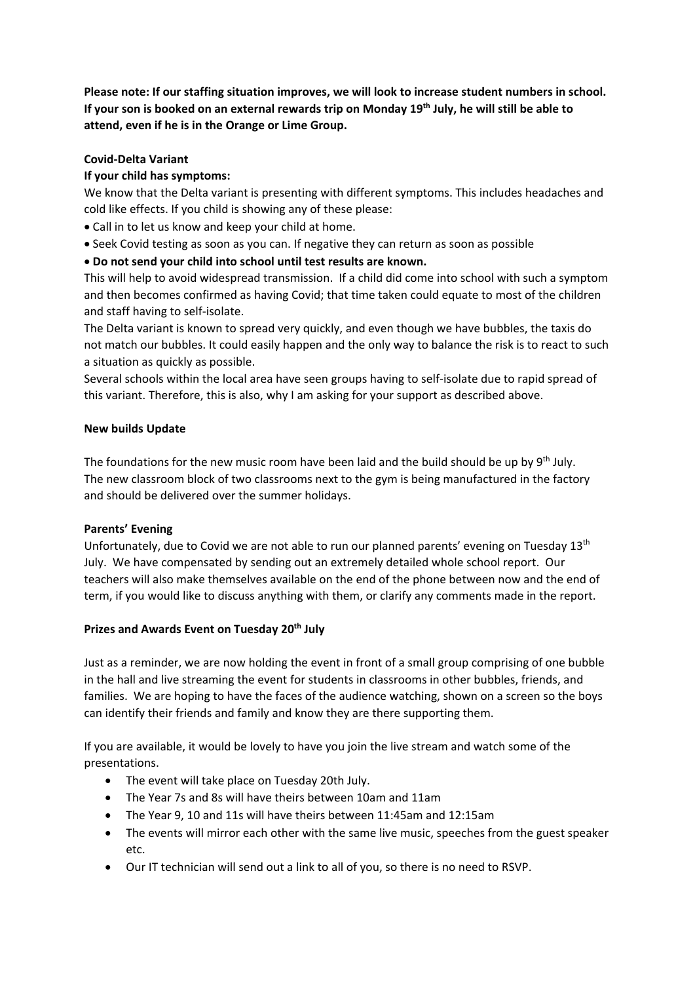**Please note: If our staffing situation improves, we will look to increase student numbers in school. If your son is booked on an external rewards trip on Monday 19th July, he will still be able to attend, even if he is in the Orange or Lime Group.** 

# **Covid-Delta Variant**

# **If your child has symptoms:**

We know that the Delta variant is presenting with different symptoms. This includes headaches and cold like effects. If you child is showing any of these please:

- Call in to let us know and keep your child at home.
- Seek Covid testing as soon as you can. If negative they can return as soon as possible
- **Do not send your child into school until test results are known.**

This will help to avoid widespread transmission. If a child did come into school with such a symptom and then becomes confirmed as having Covid; that time taken could equate to most of the children and staff having to self-isolate.

The Delta variant is known to spread very quickly, and even though we have bubbles, the taxis do not match our bubbles. It could easily happen and the only way to balance the risk is to react to such a situation as quickly as possible.

Several schools within the local area have seen groups having to self-isolate due to rapid spread of this variant. Therefore, this is also, why I am asking for your support as described above.

## **New builds Update**

The foundations for the new music room have been laid and the build should be up by  $9<sup>th</sup>$  July. The new classroom block of two classrooms next to the gym is being manufactured in the factory and should be delivered over the summer holidays.

## **Parents' Evening**

Unfortunately, due to Covid we are not able to run our planned parents' evening on Tuesday 13th July. We have compensated by sending out an extremely detailed whole school report. Our teachers will also make themselves available on the end of the phone between now and the end of term, if you would like to discuss anything with them, or clarify any comments made in the report.

## **Prizes and Awards Event on Tuesday 20th July**

Just as a reminder, we are now holding the event in front of a small group comprising of one bubble in the hall and live streaming the event for students in classrooms in other bubbles, friends, and families. We are hoping to have the faces of the audience watching, shown on a screen so the boys can identify their friends and family and know they are there supporting them.

If you are available, it would be lovely to have you join the live stream and watch some of the presentations.

- The event will take place on Tuesday 20th July.
- The Year 7s and 8s will have theirs between 10am and 11am
- The Year 9, 10 and 11s will have theirs between 11:45am and 12:15am
- The events will mirror each other with the same live music, speeches from the guest speaker etc.
- Our IT technician will send out a link to all of you, so there is no need to RSVP.